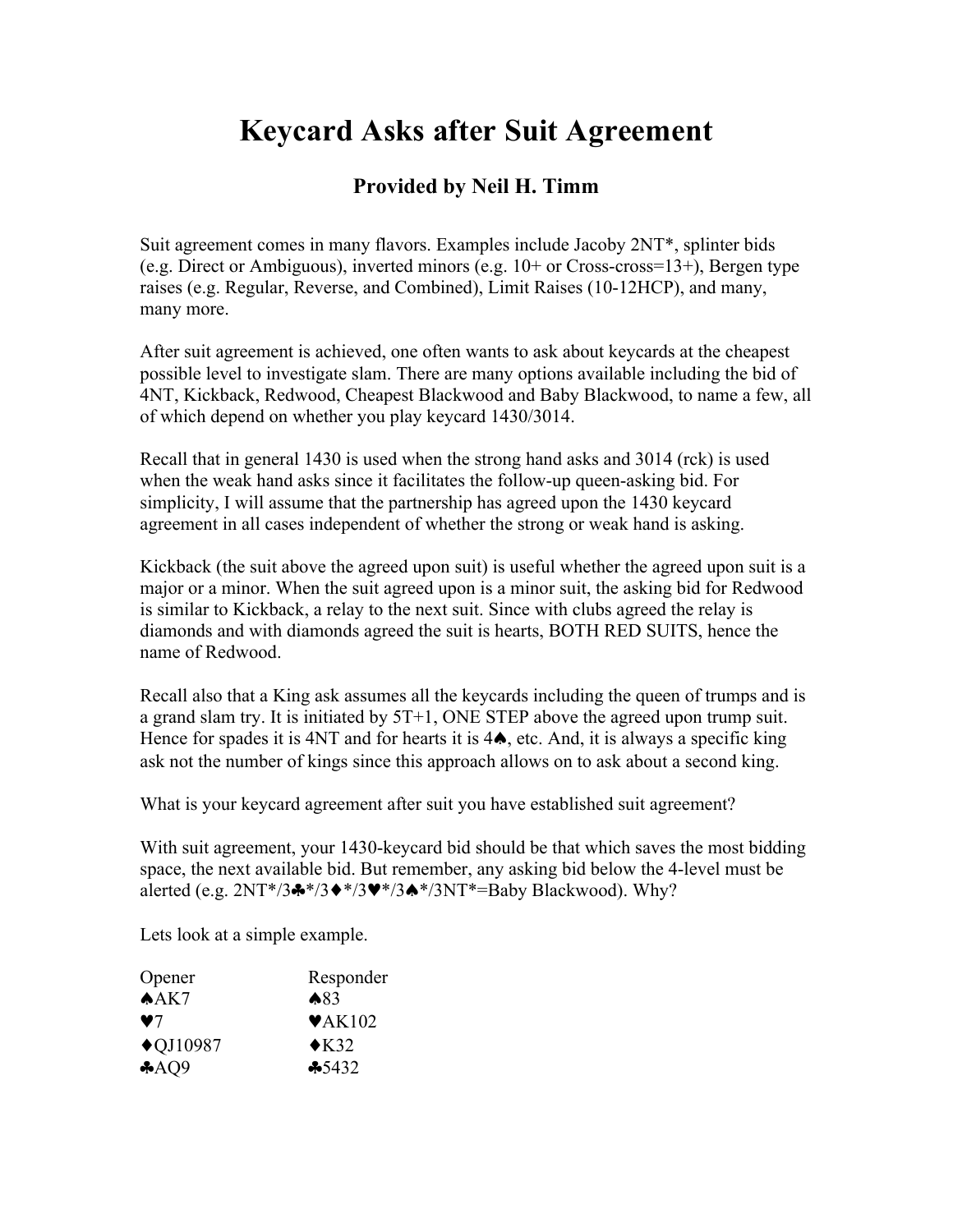## **Keycard Asks after Suit Agreement**

## **Provided by Neil H. Timm**

Suit agreement comes in many flavors. Examples include Jacoby 2NT\*, splinter bids (e.g. Direct or Ambiguous), inverted minors (e.g. 10+ or Cross-cross=13+), Bergen type raises (e.g. Regular, Reverse, and Combined), Limit Raises (10-12HCP), and many, many more.

After suit agreement is achieved, one often wants to ask about keycards at the cheapest possible level to investigate slam. There are many options available including the bid of 4NT, Kickback, Redwood, Cheapest Blackwood and Baby Blackwood, to name a few, all of which depend on whether you play keycard 1430/3014.

Recall that in general 1430 is used when the strong hand asks and 3014 (rck) is used when the weak hand asks since it facilitates the follow-up queen-asking bid. For simplicity, I will assume that the partnership has agreed upon the 1430 keycard agreement in all cases independent of whether the strong or weak hand is asking.

Kickback (the suit above the agreed upon suit) is useful whether the agreed upon suit is a major or a minor. When the suit agreed upon is a minor suit, the asking bid for Redwood is similar to Kickback, a relay to the next suit. Since with clubs agreed the relay is diamonds and with diamonds agreed the suit is hearts, BOTH RED SUITS, hence the name of Redwood.

Recall also that a King ask assumes all the keycards including the queen of trumps and is a grand slam try. It is initiated by 5T+1, ONE STEP above the agreed upon trump suit. Hence for spades it is 4NT and for hearts it is 4**↑**, etc. And, it is always a specific king ask not the number of kings since this approach allows on to ask about a second king.

What is your keycard agreement after suit you have established suit agreement?

With suit agreement, your 1430-keycard bid should be that which saves the most bidding space, the next available bid. But remember, any asking bid below the 4-level must be alerted (e.g.  $2NT*/3$ \* $/3$ \* $/3$ \* $/3$ \* $/3$ \* $/3$ A\* $/3$ NT\*=Baby Blackwood). Why?

Lets look at a simple example.

| Responder                  |
|----------------------------|
| ▲83                        |
| $\blacktriangledown$ AK102 |
| $\triangle$ K32            |
| $-5432$                    |
|                            |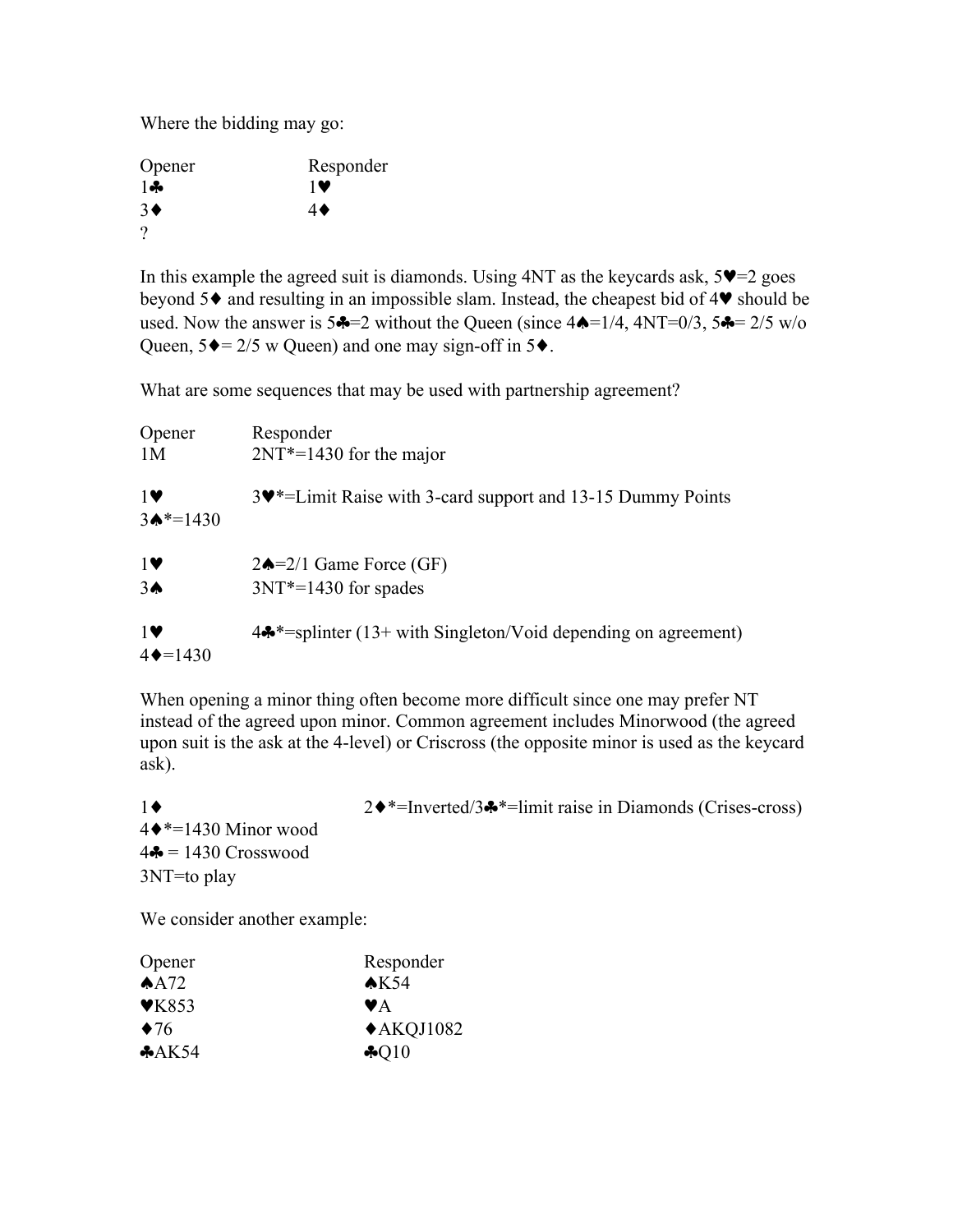Where the bidding may go:

| Opener           | Responder        |
|------------------|------------------|
| $1 -$            | 1 V              |
| $3\blacklozenge$ | $4\blacklozenge$ |
|                  |                  |

In this example the agreed suit is diamonds. Using  $4NT$  as the keycards ask,  $5\Psi=2$  goes beyond 5♦ and resulting in an impossible slam. Instead, the cheapest bid of 4♥ should be used. Now the answer is  $5\clubsuit=2$  without the Queen (since  $4\spadesuit=1/4$ ,  $4NT=0/3$ ,  $5\clubsuit=2/5$  w/o Queen,  $5\blacklozenge = 2/5$  w Queen) and one may sign-off in  $5\blacklozenge$ .

What are some sequences that may be used with partnership agreement?

| Opener                           | Responder                                                                 |
|----------------------------------|---------------------------------------------------------------------------|
| 1M                               | $2NT*=1430$ for the major                                                 |
| $1$ V<br>$3 \spadesuit^* = 1430$ | 3. 3. Elimit Raise with 3-card support and 13-15 Dummy Points             |
| $1$ V                            | $2\spadesuit = 2/1$ Game Force (GF)                                       |
| 3 <sub>•</sub>                   | $3NT* = 1430$ for spades                                                  |
| $1$ V<br>$4 \rightarrow 1430$    | $4\clubsuit^*$ =splinter (13+ with Singleton/Void depending on agreement) |

When opening a minor thing often become more difficult since one may prefer NT instead of the agreed upon minor. Common agreement includes Minorwood (the agreed upon suit is the ask at the 4-level) or Criscross (the opposite minor is used as the keycard ask).

| 1♦                            | $2\bullet^*$ =Inverted/3 $\bullet^*$ =Iimit raise in Diamonds (Crises-cross) |
|-------------------------------|------------------------------------------------------------------------------|
| $4\bullet*=1430$ Minor wood   |                                                                              |
| $4\clubsuit$ = 1430 Crosswood |                                                                              |
| $3NT = to play$               |                                                                              |
|                               |                                                                              |

We consider another example:

| Opener             | Responder            |
|--------------------|----------------------|
| A <sub>12</sub>    | AK54                 |
| $\mathbf{V}$ K853  | VA                   |
| $\blacklozenge$ 76 | $\triangle$ AKQJ1082 |
| A K54              | $\clubsuit$ Q10      |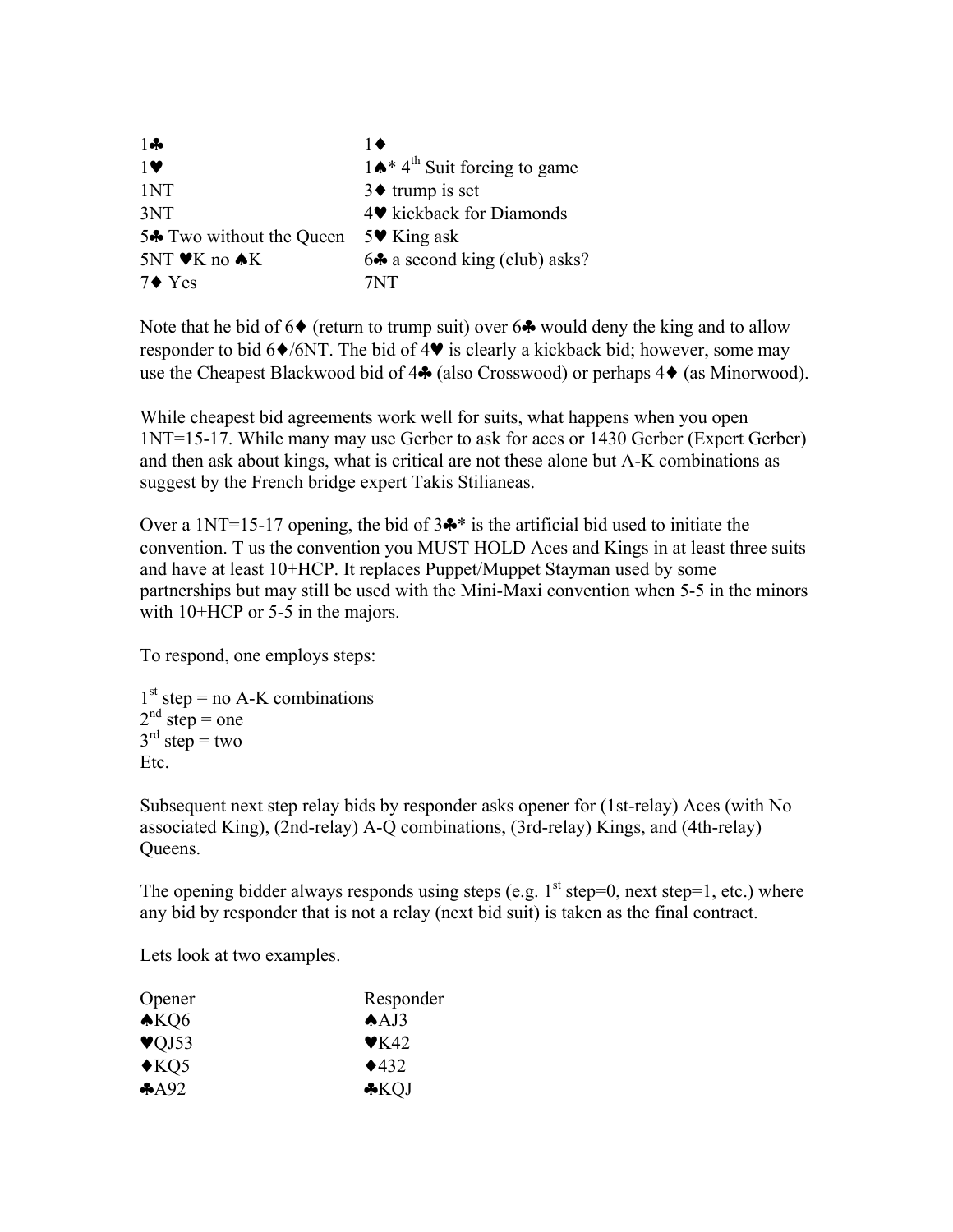| $1 -$                                                     | 1♦                                                    |
|-----------------------------------------------------------|-------------------------------------------------------|
| $1$ V                                                     | $1 \spadesuit^*$ 4 <sup>th</sup> Suit forcing to game |
| 1NT                                                       | $3\blacklozenge$ trump is set                         |
| 3NT                                                       | 4♥ kickback for Diamonds                              |
| 5 <sup><math>\clubsuit</math></sup> Two without the Queen | 5 $\blacktriangleright$ King ask                      |
| 5NT ♥K no ♠K                                              | $6\clubsuit$ a second king (club) asks?               |
| $7 \bullet Y$ es                                          | 7NT                                                   |

Note that he bid of  $6\blacklozenge$  (return to trump suit) over  $6\clubsuit$  would deny the king and to allow responder to bid  $6\blacklozenge$ /6NT. The bid of 4 $\blacktriangledown$  is clearly a kickback bid; however, some may use the Cheapest Blackwood bid of 4♣ (also Crosswood) or perhaps 4♦ (as Minorwood).

While cheapest bid agreements work well for suits, what happens when you open 1NT=15-17. While many may use Gerber to ask for aces or 1430 Gerber (Expert Gerber) and then ask about kings, what is critical are not these alone but A-K combinations as suggest by the French bridge expert Takis Stilianeas.

Over a 1NT=15-17 opening, the bid of  $3\clubsuit^*$  is the artificial bid used to initiate the convention. T us the convention you MUST HOLD Aces and Kings in at least three suits and have at least 10+HCP. It replaces Puppet/Muppet Stayman used by some partnerships but may still be used with the Mini-Maxi convention when 5-5 in the minors with 10+HCP or 5-5 in the majors.

To respond, one employs steps:

 $1<sup>st</sup> step = no A-K combinations$  $2<sup>nd</sup>$  step = one  $3<sup>rd</sup>$  step = two Etc.

Subsequent next step relay bids by responder asks opener for (1st-relay) Aces (with No associated King), (2nd-relay) A-Q combinations, (3rd-relay) Kings, and (4th-relay) Queens.

The opening bidder always responds using steps (e.g.  $1<sup>st</sup>$  step=0, next step=1, etc.) where any bid by responder that is not a relay (next bid suit) is taken as the final contract.

Lets look at two examples.

| Responder                |
|--------------------------|
| $AA$ J3                  |
| $\blacktriangledown$ K42 |
| $\triangle 432$          |
| $\bigstar$ KOJ           |
|                          |